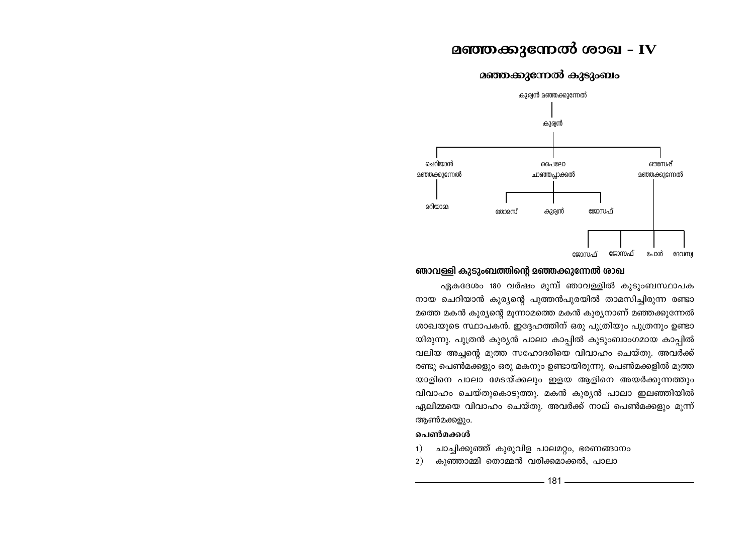# മഞ്ഞക്കുന്നേൽ ശാഖ - IV

മഞ്ഞക്കുന്നേൽ കുടുംബം



### ഞാവള്ളി കുടുംബത്തിന്റെ മഞ്ഞക്കുന്നേൽ രാഖ

ഏകദേശം 180 വർഷം മുമ്പ് ഞാവള്ളിൽ കുടുംബസ്ഥാപക നായ ചെറിയാൻ കുര്യന്റെ പുത്തൻപുരയിൽ താമസിച്ചിരുന്ന രണ്ടാ മത്തെ മകൻ കുര്യന്റെ മൂന്നാമത്തെ മകൻ കുര്യനാണ് മഞ്ഞക്കുന്നേൽ ശാഖയുടെ സ്ഥാപകൻ. ഇദ്ദേഹത്തിന് ഒരു പുത്രിയും പുത്രനും ഉണ്ടാ യിരുന്നു. പുത്രൻ കുര്യൻ പാലാ കാപ്പിൽ കുടുംബാംഗമായ കാപ്പിൽ വലിയ അച്ചന്റെ മൂത്ത സഹോദരിയെ വിവാഹം ചെയ്തു. അവർക്ക് രണ്ടു പെൺമക്കളും ഒരു മകനും ഉണ്ടായിരുന്നു. പെൺമക്കളിൽ മൂത്ത യാളിനെ പാലാ മേടയ്ക്കലും ഇളയ ആളിനെ അയർക്കുന്നത്തും വിവാഹം ചെയ്തുകൊടുത്തു. മകൻ കുര്യൻ പാലാ ഇലഞ്ഞിയിൽ ഏലിമ്മയെ വിവാഹം ചെയ്തു. അവർക്ക് നാല് പെൺമക്കളും മുന്ന് ആൺമക്കളും.

### ചെൺമക്കൾ

- ചാച്ചിക്കുഞ്ഞ് കുരുവിള പാലമറ്റം, ഭരണങ്ങാനം  $\left( \right)$
- 2) കുഞ്ഞാമ്മി തൊമ്മൻ വരിക്കമാക്കൽ, പാലാ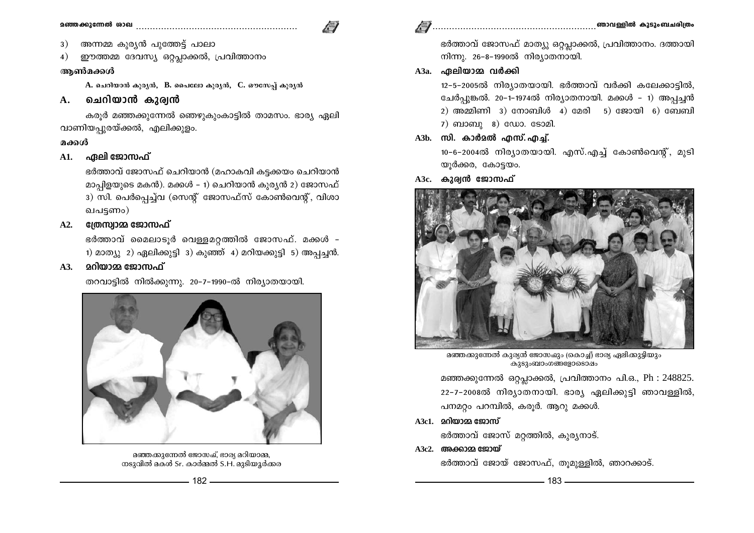- അന്നമ്മ കുര്യൻ പുത്തേട്ട് പാലാ 3)
- ഈത്തമ്മ ദേവസ്യ ഒറ്റപ്പാക്കൽ, പ്രവിത്താനം  $4)$

### ആൺമക്കൾ

 $A$ . ചെറിയാൻ കുര്യൻ,  $B$ . പൈലോ കുര്യൻ,  $C$ . ഔസേപ് കുര്യൻ

#### ചെറിയാൻ കുര്വൻ  $\mathbf{A}$ .

കരുർ മഞ്ഞക്കുന്നേൽ ഞെഴുകുംകാട്ടിൽ താമസം. ഭാര്യ ഏലി വാണിയപ്പുരയ്ക്കൽ, എലിക്കുളം.

### മക്കൾ

### A1. ഏലി ജോസഫ്

ഭർത്താവ് ജോസഫ് ചെറിയാൻ (മഹാകവി കട്ടക്കയം ചെറിയാൻ മാപ്പിളയുടെ മകൻ). മക്കൾ - 1) ചെറിയാൻ കുര്യൻ 2) ജോസഫ് 3) സി. പെർപ്പെച്ച്വ (സെന്റ് ജോസഫ്സ് കോൺവെന്റ്, വിശാ ഖപട്ടണം)

#### ത്രേസ്വാമ്മ ജോസഫ്  $A2.$

ഭർത്താവ് മൈലാടൂർ വെള്ളമറത്തിൽ ജോസഫ്. മക്കൾ -1) മാത്യു 2) ഏലിക്കുട്ടി 3) കുഞ്ഞ് 4) മറിയക്കുട്ടി 5) അപ്പച്ചൻ.

#### <u> മറിയാമ്മ ജോസഫ്</u>  $A3.$

തറവാട്ടിൽ നിൽക്കുന്നു. 20-7-1990-ൽ നിര്യാതയായി.



മഞ്ഞക്കുന്നേൽ ജോസഫ്, ഭാര്യ മറിയാമ്മ, നടുവിൽ മകൾ Sr. കാർമ്മൽ S.H. മുടിയൂർക്കര

# 

ഭർത്താവ് ജോസഫ് മാത്യു ഒറ്റപ്ലാക്കൽ, പ്രവിത്താനം. ദത്തായി നിന്നു. 26-8-1990ൽ നിര്യാതനായി.

# A3a. ഏലിയാമ്മ വർക്കി

12-5-2005ൽ നിര്യാതയായി. ഭർത്താവ് വർക്കി കലേക്കാട്ടിൽ, ചേർപൂങ്കൽ. 20-1-1974ൽ നിര്യാതനായി. മക്കൾ - 1) അപ്പച്ചൻ 2) അമ്മിണി 3) നോബിൾ 4) മേരി  $5$ ) ജോയി 6) ബേബി  $7)$  ബാബു  $8)$  ഡോ. ടോമി.

A3b. സി. കാർമൽ എസ്. എച്ച്.

10-6-2004ൽ നിര്യാതയായി. എസ്.എച്ച് കോൺവെന്റ്, മുടി യൂർക്കര, കോട്ടയം.

A3c. കുര്വൻ ജോസഫ്



മഞ്ഞക്കുന്നേൽ കുര്യൻ ജോസഹ്മും (കൊച്ച്) ഭാര്യ ഏലിക്കുട്ടിയും കുടുംബാംഗങ്ങളോടൊഷം

മഞ്ഞക്കുന്നേൽ ഒറ്റപ്ലാക്കൽ, പ്രവിത്താനം പി.ഒ., Ph : 248825. 22-7-2008ൽ നിര്യാതനായി. ഭാര്യ ഏലിക്കുട്ടി ഞാവള്ളിൽ, പനമറ്റം പറമ്പിൽ, കരൂർ. ആറു മക്കൾ.

 $A3c1.$  മറിയാമ്മ ജോസ്

ഭർത്താവ് ജോസ് മറ്റത്തിൽ, കുര്യനാട്.

A3c2. അക്കാമ്മ ജോയ്

ഭർത്താവ് ജോയ് ജോസഫ്, തുമുള്ളിൽ, ഞാറക്കാട്.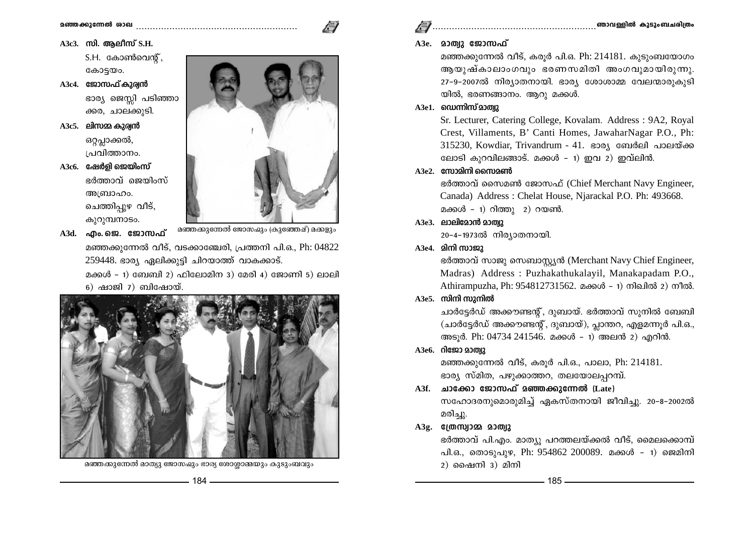A3c3. സി. അലീസ് S.H.

S.H. കോൺവെൻ്. കോട്ടയം.

- A3c4. ജോസഫ് കുര്വൻ ഭാര്യ ജെസ്സി പടിഞ്ഞാ ക്കര, ചാലക്കുടി.
- $A3c5.$  ലിസമ്മ കുര്യൻ ഒറ്റപ്ലാക്കൽ, പ്രവിത്താനം.

A3c6. ഷേർളി ജെയിംസ് ഭർത്താവ് ജെയിംസ് അബ്രാഹം. ചെത്തിപ്പുഴ വീട്, കുറുമ്പനാടം.

A3d. എം.ജെ. ജോസഫ്

മഞ്ഞക്കുന്നേൽ ജോസഹ്മും (കുഞ്ഞേഷ്) മക്കളും

മഞ്ഞക്കുന്നേൽ വീട്, വടക്കാഞ്ചേരി, പ്രത്തനി പി.ഒ., Ph: 04822  $259448.$  ഭാര്യ ഏലിക്കുട്ടി ചിറയാത്ത് വാകക്കാട്.

മക്കൾ - 1) ബേബി 2) ഫിലോമിന 3) മേരി 4) ജോണി 5) ലാലി  $6)$  ഷാജി  $7)$  ബിഷോയ്.



മഞ്ഞക്കുന്നേൽ മാത്യു ജോസഹ്മും ഭാര്യ ശോശ്ലാമ്മയും കുടുംബവും

### A3e. മാത്വു ജോസഫ്

മഞ്ഞക്കുന്നേൽ വീട്, കരുർ പി.ഒ. Ph: 214181. കൂടുംബയോഗം ആയുഷ്കാലാംഗവും ഭരണസമിതി അംഗവുമായിരുന്നു. 27-9-2007ൽ നിര്യാതനായി. ഭാര്യ ശോശാമ്മ വേലന്മാരുകുടി യിൽ, ഭരണങ്ങാനം, ആറു മക്കൾ,

# $A3e1.$  ഡെന്നിസ് മാത്വു

Sr. Lecturer, Catering College, Kovalam. Address: 9A2, Royal Crest, Villaments, B' Canti Homes, JawaharNagar P.O., Ph: 315230, Kowdiar, Trivandrum - 41. ഭാര്യ ബേർലി പാലയ്ക്ക ലോടി കുറവിലങ്ങാട്. മക്കൾ - 1) ഇവ 2) ഇവ്ലിൻ.

### $A3e2.$  സോമിനി സൈമൺ

ഭർത്താവ് സൈമൺ ജോസഫ് (Chief Merchant Navy Engineer, Canada) Address: Chelat House, Njarackal P.O. Ph: 493668. മക്കൾ - 1) റിത്തു 2) റയൺ.

### $A3e3.$  ലാലിമോൻ മാത്രു

20-4-1973ൽ നിര്യാതനായി.

# A3e4. മിനി സാജു

ഭർത്താവ് സാജു സെബാസ്റ്റ്യൻ (Merchant Navy Chief Engineer, Madras) Address: Puzhakathukalayil, Manakapadam P.O., Athirampuzha, Ph: 954812731562. മക്കൾ - 1) നിഖിൽ 2) നീൽ.

### $A3e5.$  സിനി സുനിൽ

ചാർട്ടേർഡ് അക്കൗണ്ടന്റ്, ദുബായ്. ഭർത്താവ് സുനിൽ ബേബി (ചാർട്ടേർഡ് അക്കൗണ്ടന്റ്, ദുബായ്), പ്ലാന്തറ, എളമന്നൂർ പി.ഒ., അടൂർ. Ph: 04734 241546. മക്കൾ - 1) അലൻ 2) എറിൻ.

### A3e6. റിജോ മാത്വു

മഞ്ഞക്കുന്നേൽ വീട്, കരുർ പി.ഒ., പാലാ, Ph: 214181. ഭാര്യ സ്മിത, പഴുക്കാത്തറ, തലയോലപ്പറമ്പ്.

# A3f. ചാക്കോ ജോസഫ് മഞ്ഞക്കുന്നേൽ (Late) സഹോദരനുമൊരുമിച്ച് ഏകസ്തനായി ജീവിച്ചു. 20-8-2002ൽ

മരിച്ചു.

# $A3g.$  (തന്ന്വാമ്മ മാത്വു

ഭർത്താവ് പി.എം. മാത്യു പറത്തലയ്ക്കൽ വീട്, മൈലക്കൊമ്പ് പി.ഒ., തൊടുപൂഴ, Ph: 954862 200089. മക്കൾ - 1) ജെമിനി  $2)$  ഫൈനി  $3)$  മിനി

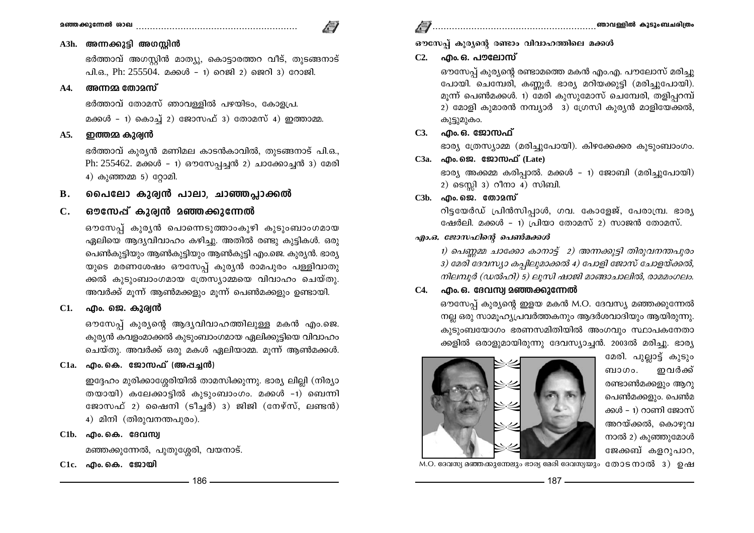### A3h. അന്നക്കുട്ടി അഗസ്റ്റിൻ

ഭർത്താവ് അഗസ്റ്റിൻ മാത്യു, കൊട്ടാരത്തറ വീട്, തുടങ്ങനാട് പി.ഒ., Ph: 255504. മക്കൾ - 1) റെജി 2) ജെറി 3) റോജി.

#### അന്നമ്മ തോമസ്  $\mathbf{A4}$

ഭർത്താവ് തോമസ് ഞാവള്ളിൽ പഴയിടം, കോളപ്ര. മക്കൾ - 1) കൊച്ച് 2) ജോസഫ് 3) തോമസ് 4) ഇത്താമ്മ.

#### ഇത്തമ്മ കുര്വൻ A5.

ഭർത്താവ് കുര്യൻ മണിമല കാടൻകാവിൽ, തുടങ്ങനാട് പി.ഒ., Ph: 255462. മക്കൾ - 1) ഔസേപ്പച്ചൻ 2) ചാക്കോച്ചൻ 3) മേരി 4) കുഞ്ഞമ്മ 5) റ്റോമി.

പൈലോ കുര്വൻ പാലാ, ചാഞ്ഞപ്ലാക്കൽ **B.** 

#### ഔസേപ്പ് കുര്വൻ മഞ്ഞക്കുന്നേൽ  $C_{\bullet}$

ഔസേപ്പ് കുരൃൻ പൊന്നെടുത്താംകുഴി കുടുംബാംഗമായ ഏലിയെ ആദ്യവിവാഹം കഴിച്ചു. അതിൽ രണ്ടു കുട്ടികൾ. ഒരു പെൺകുട്ടിയും ആൺകുട്ടിയും ആൺകുട്ടി എം.ജെ. കുര്യൻ. ഭാര്യ യുടെ മരണശേഷം ഔസേപ്പ് കുര്യൻ രാമപുരം പള്ളിവാതു ക്കൽ കുടുംബാംഗമായ ത്രേസ്യാമ്മയെ വിവാഹം ചെയ്തു. അവർക്ക് മൂന്ന് ആൺമക്കളും മൂന്ന് പെൺമക്കളും ഉണ്ടായി.

എം. ജെ. കുര്വൻ **C1.** 

> ഔസേപ് കൂര്യന്റെ ആദ്യവിവാഹത്തിലുള്ള മകൻ എം.ജെ. കുര്യൻ കവളംമാക്കൽ കൂടുംബാംഗമായ ഏലിക്കുട്ടിയെ വിവാഹം ചെയ്തു. അവർക്ക് ഒരു മകൾ ഏലിയാമ്മ. മൂന്ന് ആൺമക്കൾ.

# $C1a.$  എം.കെ. ജോസഫ് (അപ്പച്ചൻ)

ഇദ്ദേഹം മുരിക്കാശ്ശേരിയിൽ താമസിക്കുന്നു. ഭാര്യ ലില്ലി (നിര്യാ തയായി) കലേക്കാട്ടിൽ കുടുംബാംഗം. മക്കൾ -1) ബെന്നി ജോസഫ് 2) ഷൈനി (ടീച്ചർ) 3) ജിജി (നേഴ്സ്, ലണ്ടൻ) 4) മിനി (തിരുവനന്തപുരം).

C1b. . ... ... திலை சிலை சிலை சிலை

മഞ്ഞക്കുന്നേൽ, പുതുശ്ശേരി, വയനാട്.

# ഔസേപ്പ് കുര്യന്റെ രണ്ടാം വിവാഹത്തിലെ മക്കൾ

### C2. എം. ഒ. പൗലോസ്

ഔസേപ്പ് കുര്യന്റെ രണ്ടാമത്തെ മകൻ എം.എ. പൗലോസ് മരിച്ചു പോയി. ചെമ്പേരി, കണ്ണൂർ. ഭാര്യ മറിയക്കുട്ടി (മരിച്ചുപോയി). മുന്ന് പെൺമക്കൾ. 1) മേരി കുസുമോസ് ചെമ്പേരി, തളിപ്പറമ്പ് 2) മോളി കുമാരൻ നമ്പ്യാർ 3) ഗ്രേസി കുര്യൻ മാളിയേക്കൽ, കുട്ടുമുകം.

## C3. എം.ഒ. ജോസഫ്

ഭാര്യ ത്രേസ്യാമ്മ (മരിച്ചുപോയി). കിഴക്കേക്കര കുടുംബാംഗം.

### $C3a.$  എം.ജെ. ജോസഫ് (Late)

ഭാര്യ അക്കമ്മ കരിപ്പാൽ. മക്കൾ - 1) ജോബി (മരിച്ചുപോയി) 2) ടെസ്റ്റി 3) റീനാ 4) സിബി.

## 

റിട്ടയേർഡ് പ്രിൻസിപ്പാൾ, ഗവ. കോളേജ്, പേരാമ്പ്ര. ഭാര്യ ഷേർലി. മക്കൾ – 1) പ്രിയാ തോമസ് 2) സാജൻ തോമസ്.

### എം.ഒ. ജോസഫിന്റെ പെൺമക്കൾ

1) പെണ്ണമ്മ ചാക്കോ കാനാട്ട് 2) അന്നക്കുട്ടി തിരുവനന്തപുരം 3) മേരി ദേവസ്യാ കപ്പിലുമാക്കൽ 4) പോളി ജോസ് ചോളയ്ക്കൽ, നിലമ്പൂർ (ഡൽഹി) 5) ലൂസി ഷാജി മാങ്ങാചാലിൽ, രാമമംഗലം.

### $C4.$  എം. ഒ. ദേവസ്വ മഞ്ഞക്കുന്നേൽ

ഔസേപ്പ് കുര്യന്റെ ഇളയ മകൻ M.O. ദേവസ്യ മഞ്ഞക്കുന്നേൽ നല്ല ഒരു സാമൂഹ്യപ്രവർത്തകനും ആദർശവാദിയും ആയിരുന്നു. കുടുംബയോഗം ഭരണസമിതിയിൽ അംഗവും സ്ഥാപകനേതാ ക്കളിൽ ഒരാളുമായിരുന്നു ദേവസ്യാച്ചൻ. 2003ൽ മരിച്ചു. ഭാര്യ

> മേരി. പുല്ലാട്ട് കുടും ഇവർക്ക് ബാഗം. രണ്ടാൺമക്കളും ആറു പെൺമക്കളും. പെൺമ ക്കൾ - 1) റാണി ജോസ് അറയ്ക്കൽ, കൊഴുവ നാൽ 2) കുഞ്ഞുമോൾ ജേക്കബ് കളറുപാറ,

M.O. ദേവസ്യ മഞ്ഞക്കുന്നേലും ഭാര്യ മേരി ദേവസ്യയും തോടനാൽ 3) ഉഷ

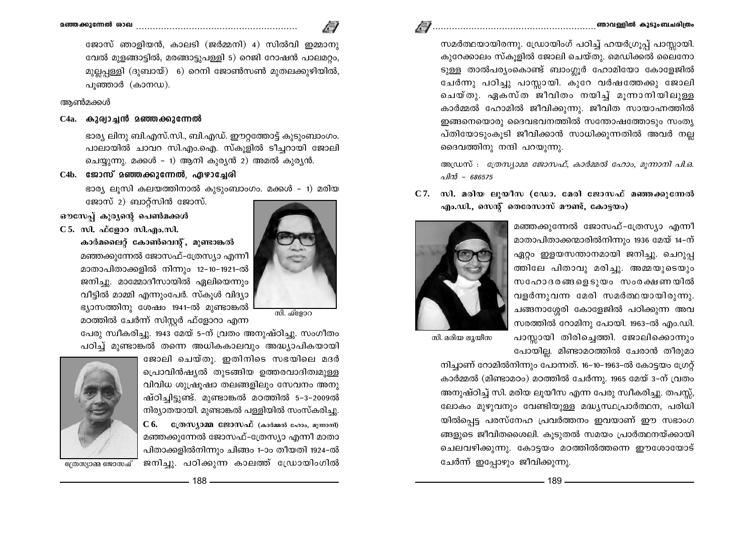സമർത്ഥയായിരന്നു. ഡ്രോയിംഗ് പഠിച്ച് ഹയർഗ്രൂപ്പ് പാസ്സായി. കുറേക്കാലം സ്കുളിൽ ജോലി ചെയ്തു. മെഡിക്കൽ ലൈനോ ടുള്ള താൽപര്യംകൊണ്ട് ബാംഗ്ലൂർ ഹോമിയോ കോളേജിൽ

ചേർന്നു പഠിച്ചു പാസ്സായി. കുറേ വർഷത്തേക്കു ജോലി ചെയ്തു. ഏകസ്ത ജീവിതം നയിച്ച് മൂന്നാനിയിലുള്ള കാർമ്മൽ ഹോമിൽ ജീവിക്കുന്നു. ജീവിത സായാഹ്നത്തിൽ ഇങ്ങനെയൊരു ദൈവഭവനത്തിൽ സന്തോഷത്തോടും സംതൃ പ്തിയോടുംകൂടി ജീവിക്കാൻ സാധിക്കുന്നതിൽ അവർ നല്ല ദൈവത്തിനു നന്ദി പറയുന്നു.

അഡ്രസ്: *ര്രേസ്യാമ്മ ജോസഫ്, കാർമ്മൽ ഹോം, മന്നാനി പി.ഒ.* പിൻ - 686575

 $C$ 7. സി. മരിയ ലൂയീസ (ഡോ. മേരി ജോസഫ് മഞ്ഞക്കുന്നേൽ എം.ഡി., സെന്റ് തെരേസാസ് മൗണ്ട്, കോട്ടയം)

> മഞ്ഞക്കുന്നേൽ ജോസഫ്-ത്രേസ്യാ എന്നീ മാതാപിതാക്കന്മാരിൽനിന്നും 1936 മേയ് 14-ന് ഏറ്റം ഇളയസന്താനമായി ജനിച്ചു. ചെറുപ്പ ത്തിലേ പിതാവു മരിച്ചു. അമ്മയുടെയും സഹോദരങ്ങളെടുയം സംരക്ഷണയിൽ വളർന്നുവന്ന മേരി സമർത്ഥയായിരുന്നു. ചങ്ങനാശ്ശേരി കോളേജിൽ പഠിക്കുന്ന അവ സരത്തിൽ റോമിനു പോയി. 1963-ൽ എം.ഡി. പാസ്ലായി തിരിച്ചെത്തി. ജോലിക്കൊന്നും പോയില്ല. മിണ്ടാമഠത്തിൽ ചേരാൻ തീരുമാ



സി. മരിയ ലായീസ

നിച്ചാണ് റോമിൽനിന്നും പോന്നത്. 16-10-1963-ൽ കോട്ടയം ഗ്രേറ്റ് കാർമ്മൽ (മിണ്ടാമഠം) മഠത്തിൽ ചേർന്നു. 1965 മേയ് 3-ന് വ്രതം അനുഷ്ഠിച്ച് സി. മരിയ ലൂയീസ എന്ന പേരു സ്വീകരിച്ചു. തപസ്സ്, ലോകം മുഴുവനും വേണ്ടിയുള്ള മദ്ധ്യസ്ഥപ്രാർത്ഥന, പരിധി യിൽപ്പെട്ട പരസ്നേഹ പ്രവർത്തനം ഇവയാണ് ഈ സഭാംഗ ങ്ങളുടെ ജീവിതശൈലി. കുടുതൽ സമയം പ്രാർത്ഥനയ്ക്കായി ചെലവഴിക്കുന്നു. കോട്ടയം മഠത്തിൽത്തന്നെ ഈശോയോട് ചേർന്ന് ഇപ്പോഴും ജീവിക്കുന്നു.



### ആൺമക്കൾ

### $C4a.$  കുര്വാച്ചൻ മഞ്ഞക്കുന്നേൽ

ഭാര്യ ലിനു ബി.എസ്.സി., ബി.എഡ്. ഈറ്റത്തോട്ട് കുടുംബാംഗം. പാലായിൽ ചാവറ സി.എം.ഐ. സ്കൂളിൽ ടീച്ചറായി ജോലി ചെയ്യുന്നു. മക്കൾ – 1) ആനി കുര്യൻ 2) അമൽ കുര്യൻ.

### $C4b.$  ജോസ് മഞ്ഞക്കുന്നേൽ, ഏഴാചേരി

ഭാര്യ ലുസി കലയത്തിനാൽ കൂട്ടുംബാംഗം. മക്കൾ - 1) മരിയ

ജോസ് 2) ബാറ്റ്സിൻ ജോസ്.

ഔസേപ്പ് കുര്യന്റെ പെൺമക്കൾ



കാർമലൈറ്റ് കോൺവെന്റ്, മുണ്ടാങ്കൽ മഞ്ഞക്കുന്നേൽ ജോസഫ്-ത്രേസ്യാ എന്നീ മാതാപിതാക്കളിൽ നിന്നും 12-10-1921-ൽ ജനിച്ചു. മാമ്മോദീസായിൽ ഏലിയെന്നും വീട്ടിൽ മാമ്മി എന്നുംപേർ. സ്കൂൾ വിദ്യാ ഭ്യാസത്തിനു ശേഷം 1941-ൽ മുണ്ടാങ്കൽ മഠത്തിൽ ചേർന്ന് സിസ്റ്റർ ഫ്ളോറാ എന്ന

സി. ഫ്ളോറ

പേരു സ്വീകരിച്ചു. 1943 മേയ് 5-ന് വ്രതം അനുഷ്ഠിച്ചു. സംഗീതം പഠിച്ച് മുണ്ടാങ്കൽ തന്നെ അധികകാലവും അദ്ധ്യാപികയായി

> ജോലി ചെയ്തു. ഇതിനിടെ സഭയിലെ മദർ പ്രൊവിൻഷ്യൽ തുടങ്ങിയ ഉത്തരവാദിത്വമുള്ള വിവിധ ശുഷ്രൂഷാ തലങ്ങളിലും സേവനം അനു ഷ്ഠിച്ചിട്ടുണ്ട്. മുണ്ടാങ്കൽ മഠത്തിൽ 5-3-2009ൽ നിര്യാതയായി. മുണ്ടാങ്കൽ പള്ളിയിൽ സംസ്കരിച്ചു.  $C$  6.  $C($ തസ്യാമ്മ ജോസഫ് (കാർമ്മൽ ഹോം, മുന്നാനി) മഞ്ഞക്കുന്നേൽ ജോസഫ്-ത്രേസ്യാ എന്നീ മാതാ പിതാക്കളിൽനിന്നും ചിങ്ങം 1-ാം തീയതി 1924-ൽ ജനിച്ചു. പഠിക്കുന്ന കാലത്ത് ഡ്രോയിംഗിൽ

> > $.188$   $\overline{\phantom{a}}$



ത്രേസ്യാമ്മ ജോസഫ്

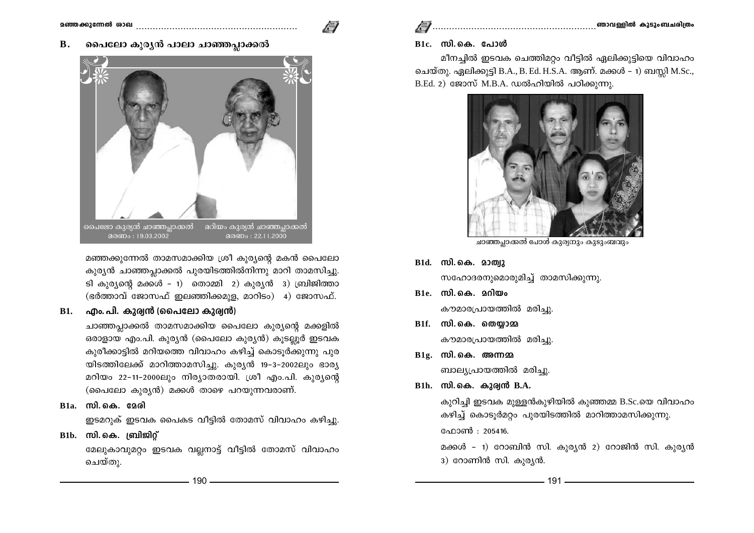#### പൈലോ കുരൃൻ പാലാ ചാഞ്ഞപ്പാക്കൽ **B.**



മഞ്ഞക്കുന്നേൽ താമസമാക്കിയ ശ്രീ കുര്യന്റെ മകൻ പൈലോ കുര്യൻ ചാഞ്ഞപ്ലാക്കൽ പുരയിടത്തിൽനിന്നു മാറി താമസിച്ചു. ടി കുര്യന്റെ മക്കൾ - 1) തൊമ്മി 2) കുര്യൻ 3) ബ്രിജിത്താ (ഭർത്താവ് ജോസഫ് ഇലഞ്ഞിക്കമുള, മാറിടം) 4) ജോസഫ്.

# $B1.$  എം. പി. കുര്വൻ (പൈലോ കുര്വൻ)

ചാഞ്ഞപ്പാക്കൽ താമസമാക്കിയ പൈലോ കുര്യന്റെ മക്കളിൽ ഒരാളായ എം.പി. കുര്യൻ (പൈലോ കുര്യൻ) കുടല്ലൂർ ഇടവക കുരീക്കാട്ടിൽ മറിയത്തെ വിവാഹം കഴിച്ച് കൊടൂർക്കുന്നു പുര യിടത്തിലേക്ക് മാറിത്താമസിച്ചു. കുര്യൻ 19-3-2002ലും ഭാര്യ മറിയം 22-11-2000ലും നിര്യാതരായി. ശ്രീ എം.പി. കുര്യന്റെ (പൈലോ കുര്യൻ) മക്കൾ താഴെ പറയുന്നവരാണ്.

B1a. സി.കെ. മേരി

ഇടമറുക് ഇടവക പൈകട വീട്ടിൽ തോമസ് വിവാഹം കഴിച്ചു.

# $B1b.$  സി.കെ. ബ്രിജിറ്റ്

മേലുകാവുമറ്റം ഇടവക വല്ലനാട്ട് വീട്ടിൽ തോമസ് വിവാഹം ചെയ്തു.

### B1c. സി.കെ. പോൾ

മീനച്ചിൽ ഇടവക ചെത്തിമറ്റം വീട്ടിൽ ഏലിക്കുട്ടിയെ വിവാഹം ചെയ്തു. ഏലിക്കുട്ടി B.A., B. Ed. H.S.A. ആണ്. മക്കൾ – 1) ബസ്റ്റി M.Sc., B.Ed. 2) ജോസ് M.B.A. ഡൽഹിയിൽ പഠിക്കുന്നു.



ചാഞ്ഞപ്പാക്കൽ പോൾ കുര്യനും കുടുംബവും

- B1d. സി.കെ. മാത്വു സഹോദരനുമൊരുമിച്ച് താമസിക്കുന്നു.
- $B1e.$  സി.കെ. മറിയം കൗമാരപ്രായത്തിൽ മരിച്ചു.
- $B1f.$  സി.കെ. തെയാമ കൗമാരപ്രായത്തിൽ മരിച്ചു.
- $B1g$ . സി.കെ. അന്നമ ബാല്യപ്രായത്തിൽ മരിച്ചു.
- $B1h$ . സി.കെ. കുര്വൻ  $B.A.$

കുറിച്ചി ഇടവക മുള്ളൻകുഴിയിൽ കുഞ്ഞമ്മ B.Sc.യെ വിവാഹം കഴിച്ച് കൊടൂർമറ്റം പുരയിടത്തിൽ മാറിത്താമസിക്കുന്നു. ഫോൺ : 205416.

മക്കൾ - 1) റോബിൻ സി. കുര്യൻ 2) റോജിൻ സി. കുര്യൻ 3) റോണിൻ സി. കുര്യൻ.